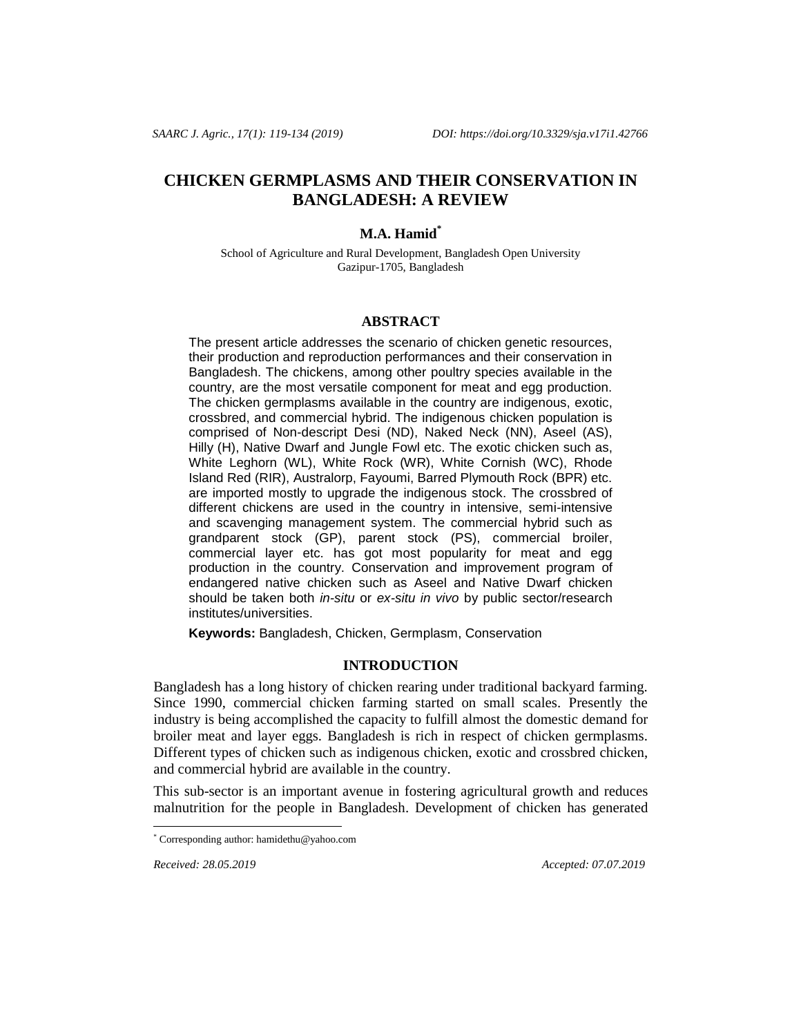# **CHICKEN GERMPLASMS AND THEIR CONSERVATION IN BANGLADESH: A REVIEW**

# **M.A. Hamid\***

School of Agriculture and Rural Development, Bangladesh Open University Gazipur-1705, Bangladesh

### **ABSTRACT**

The present article addresses the scenario of chicken genetic resources, their production and reproduction performances and their conservation in Bangladesh. The chickens, among other poultry species available in the country, are the most versatile component for meat and egg production. The chicken germplasms available in the country are indigenous, exotic, crossbred, and commercial hybrid. The indigenous chicken population is comprised of Non-descript Desi (ND), Naked Neck (NN), Aseel (AS), Hilly (H), Native Dwarf and Jungle Fowl etc. The exotic chicken such as, White Leghorn (WL), White Rock (WR), White Cornish (WC), Rhode Island Red (RIR), Australorp, Fayoumi, Barred Plymouth Rock (BPR) etc. are imported mostly to upgrade the indigenous stock. The crossbred of different chickens are used in the country in intensive, semi-intensive and scavenging management system. The commercial hybrid such as grandparent stock (GP), parent stock (PS), commercial broiler, commercial layer etc. has got most popularity for meat and egg production in the country. Conservation and improvement program of endangered native chicken such as Aseel and Native Dwarf chicken should be taken both *in-situ* or *ex-situ in vivo* by public sector/research institutes/universities.

**Keywords:** Bangladesh, Chicken, Germplasm, Conservation

# **INTRODUCTION**

Bangladesh has a long history of chicken rearing under traditional backyard farming. Since 1990, commercial chicken farming started on small scales. Presently the industry is being accomplished the capacity to fulfill almost the domestic demand for broiler meat and layer eggs. Bangladesh is rich in respect of chicken germplasms. Different types of chicken such as indigenous chicken, exotic and crossbred chicken, and commercial hybrid are available in the country.

This sub-sector is an important avenue in fostering agricultural growth and reduces malnutrition for the people in Bangladesh. Development of chicken has generated

 $\overline{\phantom{a}}$ 

*Received: 28.05.2019 Accepted: 07.07.2019*

<sup>\*</sup> Corresponding author: [hamidethu@yahoo.com](mailto:hamidethu@yahoo.com)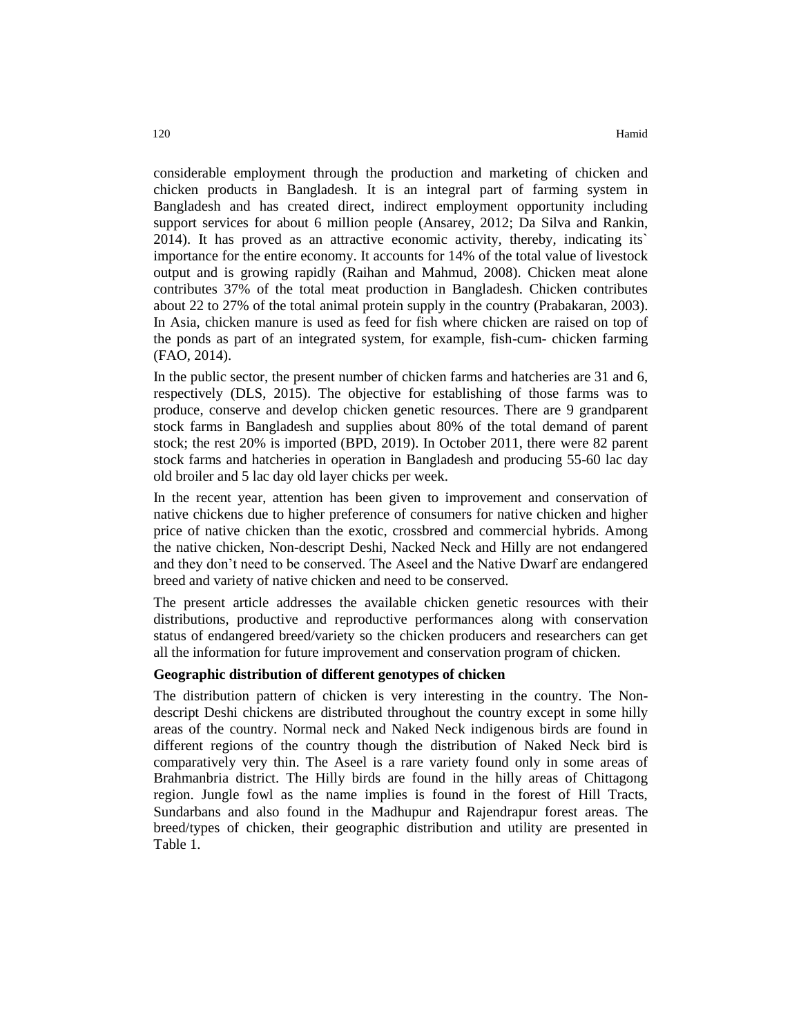considerable employment through the production and marketing of chicken and chicken products in Bangladesh. It is an integral part of farming system in Bangladesh and has created direct, indirect employment opportunity including support services for about 6 million people (Ansarey, 2012; Da Silva and Rankin, 2014). It has proved as an attractive economic activity, thereby, indicating its` importance for the entire economy. It accounts for 14% of the total value of livestock output and is growing rapidly (Raihan and Mahmud, 2008). Chicken meat alone contributes 37% of the total meat production in Bangladesh. Chicken contributes about 22 to 27% of the total animal protein supply in the country (Prabakaran, 2003). In Asia, chicken manure is used as feed for fish where chicken are raised on top of the ponds as part of an integrated system, for example, fish-cum- chicken farming (FAO, 2014).

In the public sector, the present number of chicken farms and hatcheries are 31 and 6, respectively (DLS, 2015). The objective for establishing of those farms was to produce, conserve and develop chicken genetic resources. There are 9 grandparent stock farms in Bangladesh and supplies about 80% of the total demand of parent stock; the rest 20% is imported (BPD, 2019). In October 2011, there were 82 parent stock farms and hatcheries in operation in Bangladesh and producing 55-60 lac day old broiler and 5 lac day old layer chicks per week.

In the recent year, attention has been given to improvement and conservation of native chickens due to higher preference of consumers for native chicken and higher price of native chicken than the exotic, crossbred and commercial hybrids. Among the native chicken, Non-descript Deshi, Nacked Neck and Hilly are not endangered and they don't need to be conserved. The Aseel and the Native Dwarf are endangered breed and variety of native chicken and need to be conserved.

The present article addresses the available chicken genetic resources with their distributions, productive and reproductive performances along with conservation status of endangered breed/variety so the chicken producers and researchers can get all the information for future improvement and conservation program of chicken.

### **Geographic distribution of different genotypes of chicken**

The distribution pattern of chicken is very interesting in the country. The Nondescript Deshi chickens are distributed throughout the country except in some hilly areas of the country. Normal neck and Naked Neck indigenous birds are found in different regions of the country though the distribution of Naked Neck bird is comparatively very thin. The Aseel is a rare variety found only in some areas of Brahmanbria district. The Hilly birds are found in the hilly areas of Chittagong region. Jungle fowl as the name implies is found in the forest of Hill Tracts, Sundarbans and also found in the Madhupur and Rajendrapur forest areas. The breed/types of chicken, their geographic distribution and utility are presented in Table 1.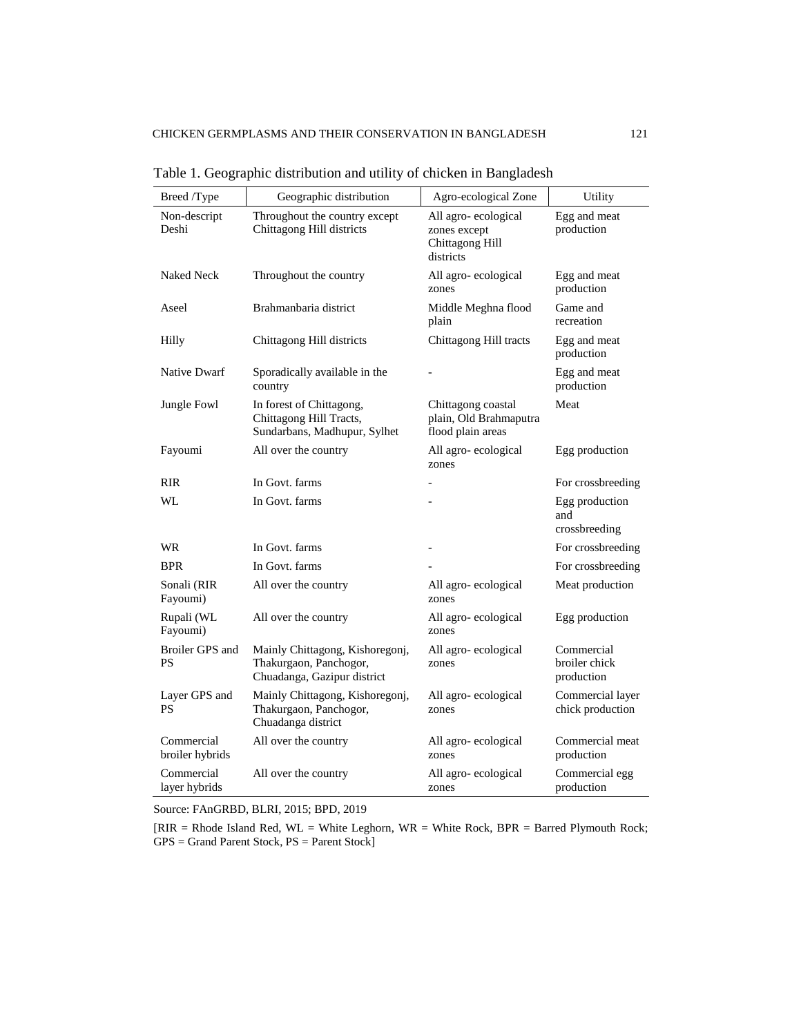| Breed /Type                   | Geographic distribution                                                                  | Agro-ecological Zone                                                | Utility                                   |
|-------------------------------|------------------------------------------------------------------------------------------|---------------------------------------------------------------------|-------------------------------------------|
| Non-descript<br>Deshi         | Throughout the country except<br>Chittagong Hill districts                               | All agro-ecological<br>zones except<br>Chittagong Hill<br>districts | Egg and meat<br>production                |
| <b>Naked Neck</b>             | Throughout the country                                                                   | All agro-ecological<br>zones                                        | Egg and meat<br>production                |
| Aseel                         | Brahmanbaria district                                                                    | Middle Meghna flood<br>plain                                        | Game and<br>recreation                    |
| Hilly                         | Chittagong Hill districts                                                                | Chittagong Hill tracts                                              | Egg and meat<br>production                |
| Native Dwarf                  | Sporadically available in the<br>country                                                 |                                                                     | Egg and meat<br>production                |
| Jungle Fowl                   | In forest of Chittagong,<br>Chittagong Hill Tracts,<br>Sundarbans, Madhupur, Sylhet      | Chittagong coastal<br>plain, Old Brahmaputra<br>flood plain areas   | Meat                                      |
| Fayoumi                       | All over the country                                                                     | All agro-ecological<br>zones                                        | Egg production                            |
| <b>RIR</b>                    | In Govt. farms                                                                           | $\overline{a}$                                                      | For crossbreeding                         |
| WL                            | In Govt. farms                                                                           |                                                                     | Egg production<br>and<br>crossbreeding    |
| <b>WR</b>                     | In Govt. farms                                                                           |                                                                     | For crossbreeding                         |
| <b>BPR</b>                    | In Govt. farms                                                                           |                                                                     | For crossbreeding                         |
| Sonali (RIR<br>Fayoumi)       | All over the country                                                                     | All agro-ecological<br>zones                                        | Meat production                           |
| Rupali (WL<br>Fayoumi)        | All over the country                                                                     | All agro-ecological<br>zones                                        | Egg production                            |
| Broiler GPS and<br>PS         | Mainly Chittagong, Kishoregonj,<br>Thakurgaon, Panchogor,<br>Chuadanga, Gazipur district | All agro-ecological<br>zones                                        | Commercial<br>broiler chick<br>production |
| Layer GPS and<br><b>PS</b>    | Mainly Chittagong, Kishoregonj,<br>Thakurgaon, Panchogor,<br>Chuadanga district          | All agro-ecological<br>zones                                        | Commercial layer<br>chick production      |
| Commercial<br>broiler hybrids | All over the country                                                                     | All agro-ecological<br>zones                                        | Commercial meat<br>production             |
| Commercial<br>layer hybrids   | All over the country                                                                     | All agro-ecological<br>zones                                        | Commercial egg<br>production              |

Table 1. Geographic distribution and utility of chicken in Bangladesh

Source: FAnGRBD, BLRI, 2015; BPD, 2019

[RIR = Rhode Island Red, WL = White Leghorn, WR = White Rock, BPR = Barred Plymouth Rock; GPS = Grand Parent Stock, PS = Parent Stock]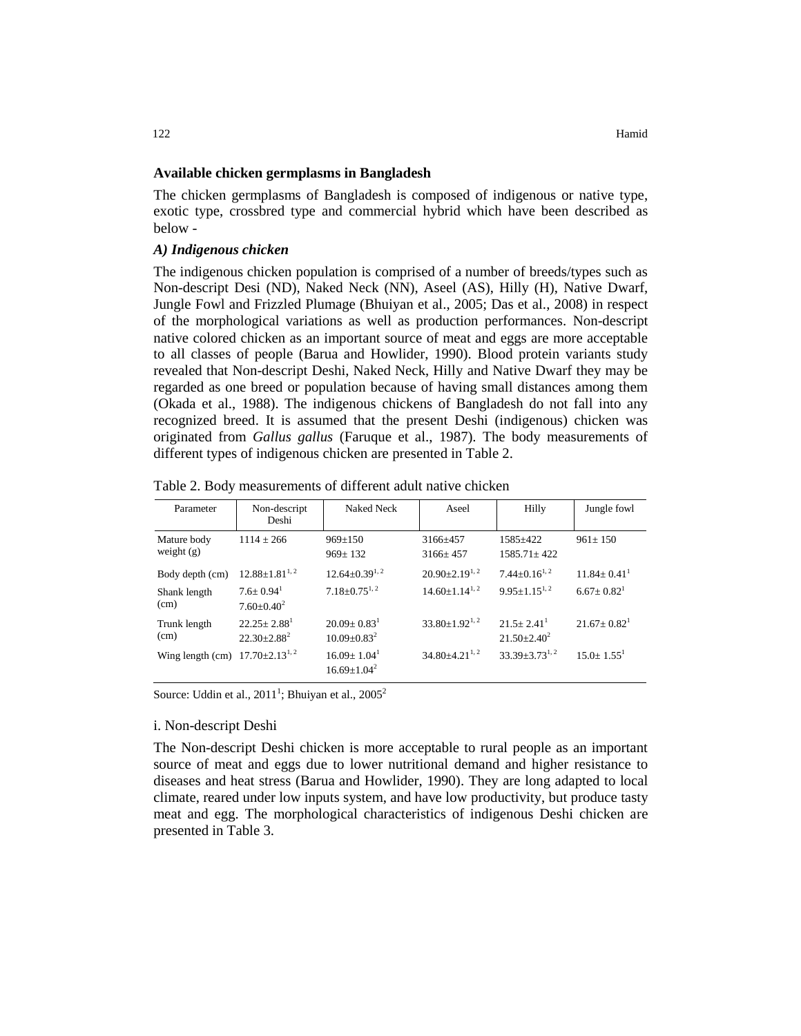#### **Available chicken germplasms in Bangladesh**

The chicken germplasms of Bangladesh is composed of indigenous or native type, exotic type, crossbred type and commercial hybrid which have been described as below -

# *A) Indigenous chicken*

The indigenous chicken population is comprised of a number of breeds/types such as Non-descript Desi (ND), Naked Neck (NN), Aseel (AS), Hilly (H), Native Dwarf, Jungle Fowl and Frizzled Plumage (Bhuiyan et al., 2005; Das et al., 2008) in respect of the morphological variations as well as production performances. Non-descript native colored chicken as an important source of meat and eggs are more acceptable to all classes of people (Barua and Howlider, 1990). Blood protein variants study revealed that Non-descript Deshi, Naked Neck, Hilly and Native Dwarf they may be regarded as one breed or population because of having small distances among them (Okada et al., 1988). The indigenous chickens of Bangladesh do not fall into any recognized breed. It is assumed that the present Deshi (indigenous) chicken was originated from *Gallus gallus* (Faruque et al., 1987). The body measurements of different types of indigenous chicken are presented in Table 2.

| Parameter                               | Non-descript<br>Deshi                                     | <b>Naked Neck</b>                                 | Aseel                                            | Hilly                                          | Jungle fowl                                               |
|-----------------------------------------|-----------------------------------------------------------|---------------------------------------------------|--------------------------------------------------|------------------------------------------------|-----------------------------------------------------------|
| Mature body<br>weight $(g)$             | $1114 \pm 266$                                            | $969+150$<br>$969 + 132$                          | 3166+457<br>$3166+457$                           | 1585+422<br>$1585.71 + 422$                    | $961 \pm 150$                                             |
| Body depth (cm)<br>Shank length<br>(cm) | $12.88 + 1.81^{1,2}$<br>$7.6+0.94^1$<br>$7.60 \pm 0.40^2$ | $12.64 \pm 0.39^{1,2}$<br>$7.18 \pm 0.75^{1,2}$   | $20.90 \pm 2.19^{1,2}$<br>$14.60 \pm 1.14^{1,2}$ | $7.44 \pm 0.16^{1,2}$<br>$9.95 \pm 1.15^{1,2}$ | $11.84 + 0.41$ <sup>1</sup><br>$6.67 + 0.82$ <sup>1</sup> |
| Trunk length<br>(cm)                    | $22.25 + 2.88$ <sup>1</sup><br>$22.30 \pm 2.88^2$         | $20.09 + 0.83^1$<br>$10.09 + 0.83^2$              | $33.80 \pm 1.92^{1,2}$                           | $21.5 + 2.41$ <sup>1</sup><br>$21.50 + 2.40^2$ | $21.67 + 0.82^1$                                          |
| Wing length (cm)                        | $17.70 \pm 2.13^{1,2}$                                    | $16.09 + 1.04$ <sup>1</sup><br>$16.69 \pm 1.04^2$ | $34.80 + 4.21^{1,2}$                             | $33.39 + 3.73^{1,2}$                           | $15.0 + 1.55^1$                                           |

Table 2. Body measurements of different adult native chicken

Source: Uddin et al.,  $2011^1$ ; Bhuiyan et al.,  $2005^2$ 

#### i. Non-descript Deshi

The Non-descript Deshi chicken is more acceptable to rural people as an important source of meat and eggs due to lower nutritional demand and higher resistance to diseases and heat stress (Barua and Howlider, 1990). They are long adapted to local climate, reared under low inputs system, and have low productivity, but produce tasty meat and egg. The morphological characteristics of indigenous Deshi chicken are presented in Table 3.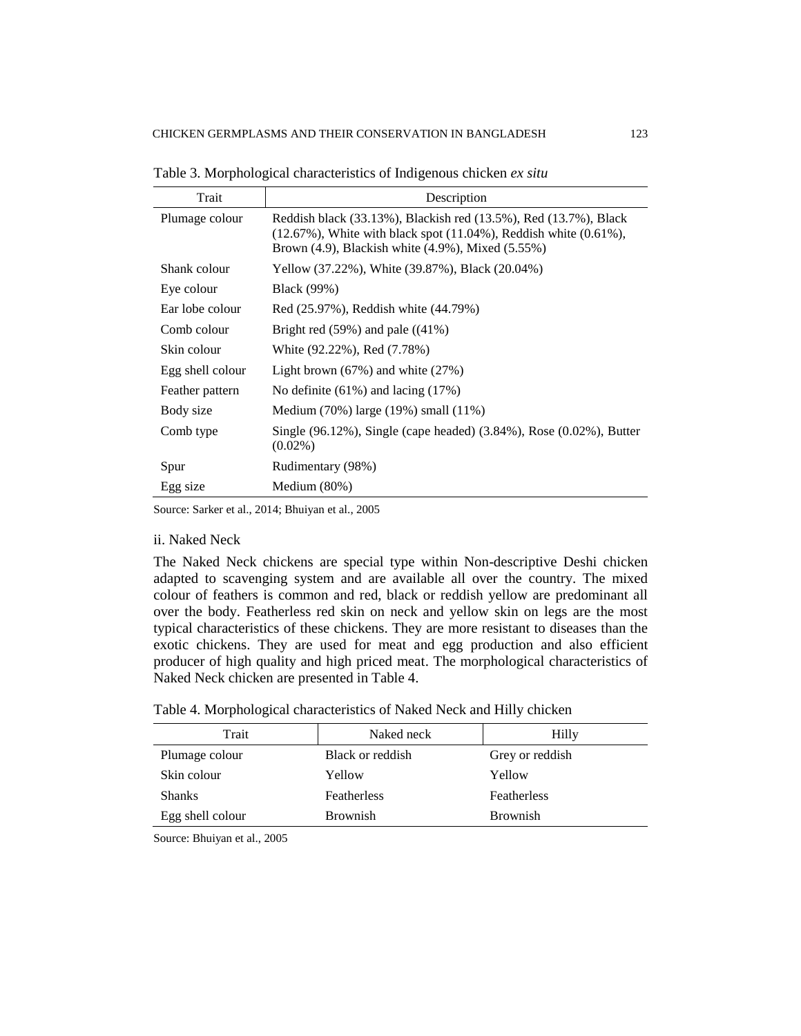| Trait            | Description                                                                                                                                                                                                     |
|------------------|-----------------------------------------------------------------------------------------------------------------------------------------------------------------------------------------------------------------|
| Plumage colour   | Reddish black (33.13%), Blackish red (13.5%), Red (13.7%), Black<br>$(12.67\%)$ , White with black spot $(11.04\%)$ , Reddish white $(0.61\%)$ ,<br>Brown $(4.9)$ , Blackish white $(4.9\%)$ , Mixed $(5.55\%)$ |
| Shank colour     | Yellow (37.22%), White (39.87%), Black (20.04%)                                                                                                                                                                 |
| Eye colour       | Black (99%)                                                                                                                                                                                                     |
| Ear lobe colour  | Red (25.97%), Reddish white (44.79%)                                                                                                                                                                            |
| Comb colour      | Bright red $(59\%)$ and pale $((41\%)$                                                                                                                                                                          |
| Skin colour      | White (92.22%), Red (7.78%)                                                                                                                                                                                     |
| Egg shell colour | Light brown $(67%)$ and white $(27%)$                                                                                                                                                                           |
| Feather pattern  | No definite $(61\%)$ and lacing $(17\%)$                                                                                                                                                                        |
| Body size        | Medium $(70%)$ large $(19%)$ small $(11%)$                                                                                                                                                                      |
| Comb type        | Single $(96.12\%)$ , Single (cape headed) $(3.84\%)$ , Rose $(0.02\%)$ , Butter<br>$(0.02\%)$                                                                                                                   |
| Spur             | Rudimentary (98%)                                                                                                                                                                                               |
| Egg size         | Medium $(80%)$                                                                                                                                                                                                  |

Table 3. Morphological characteristics of Indigenous chicken *ex situ*

Source: Sarker et al., 2014; Bhuiyan et al., 2005

# ii. Naked Neck

The Naked Neck chickens are special type within Non-descriptive Deshi chicken adapted to scavenging system and are available all over the country. The mixed colour of feathers is common and red, black or reddish yellow are predominant all over the body. Featherless red skin on neck and yellow skin on legs are the most typical characteristics of these chickens. They are more resistant to diseases than the exotic chickens. They are used for meat and egg production and also efficient producer of high quality and high priced meat. The morphological characteristics of Naked Neck chicken are presented in Table 4.

| Table 4. Morphological characteristics of Naked Neck and Hilly chicken |  |
|------------------------------------------------------------------------|--|
|                                                                        |  |

| Trait            | Naked neck         | Hilly              |
|------------------|--------------------|--------------------|
| Plumage colour   | Black or reddish   | Grey or reddish    |
| Skin colour      | Yellow             | Yellow             |
| <b>Shanks</b>    | <b>Featherless</b> | <b>Featherless</b> |
| Egg shell colour | <b>Brownish</b>    | <b>Brownish</b>    |

Source: Bhuiyan et al., 2005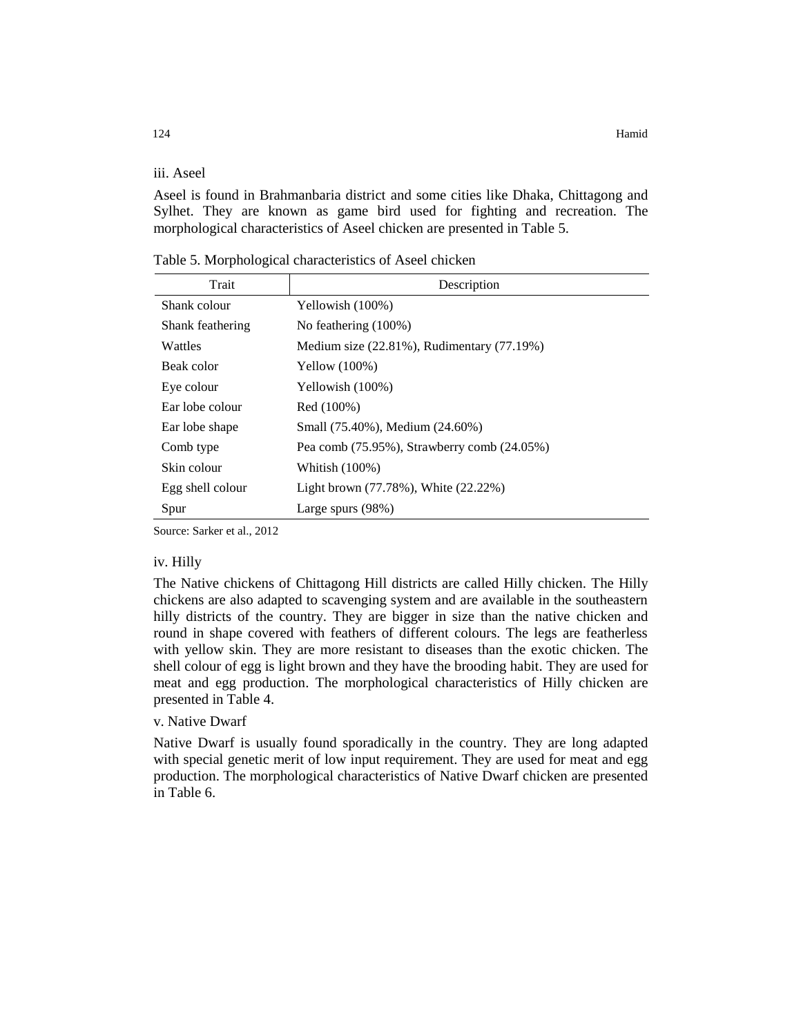# iii. Aseel

Aseel is found in Brahmanbaria district and some cities like Dhaka, Chittagong and Sylhet. They are known as game bird used for fighting and recreation. The morphological characteristics of Aseel chicken are presented in Table 5.

| Trait            | Description                                       |
|------------------|---------------------------------------------------|
| Shank colour     | Yellowish (100%)                                  |
| Shank feathering | No feathering $(100\%)$                           |
| Wattles          | Medium size $(22.81\%)$ , Rudimentary $(77.19\%)$ |
| Beak color       | Yellow $(100\%)$                                  |
| Eye colour       | Yellowish (100%)                                  |
| Ear lobe colour  | Red (100%)                                        |
| Ear lobe shape   | Small (75.40%), Medium (24.60%)                   |
| Comb type        | Pea comb (75.95%), Strawberry comb (24.05%)       |
| Skin colour      | Whitish $(100\%)$                                 |
| Egg shell colour | Light brown (77.78%), White (22.22%)              |
| Spur             | Large spurs $(98%)$                               |

Table 5. Morphological characteristics of Aseel chicken

Source: Sarker et al., 2012

# iv. Hilly

The Native chickens of Chittagong Hill districts are called Hilly chicken. The Hilly chickens are also adapted to scavenging system and are available in the southeastern hilly districts of the country. They are bigger in size than the native chicken and round in shape covered with feathers of different colours. The legs are featherless with yellow skin. They are more resistant to diseases than the exotic chicken. The shell colour of egg is light brown and they have the brooding habit. They are used for meat and egg production. The morphological characteristics of Hilly chicken are presented in Table 4.

# v. Native Dwarf

Native Dwarf is usually found sporadically in the country. They are long adapted with special genetic merit of low input requirement. They are used for meat and egg production. The morphological characteristics of Native Dwarf chicken are presented in Table 6.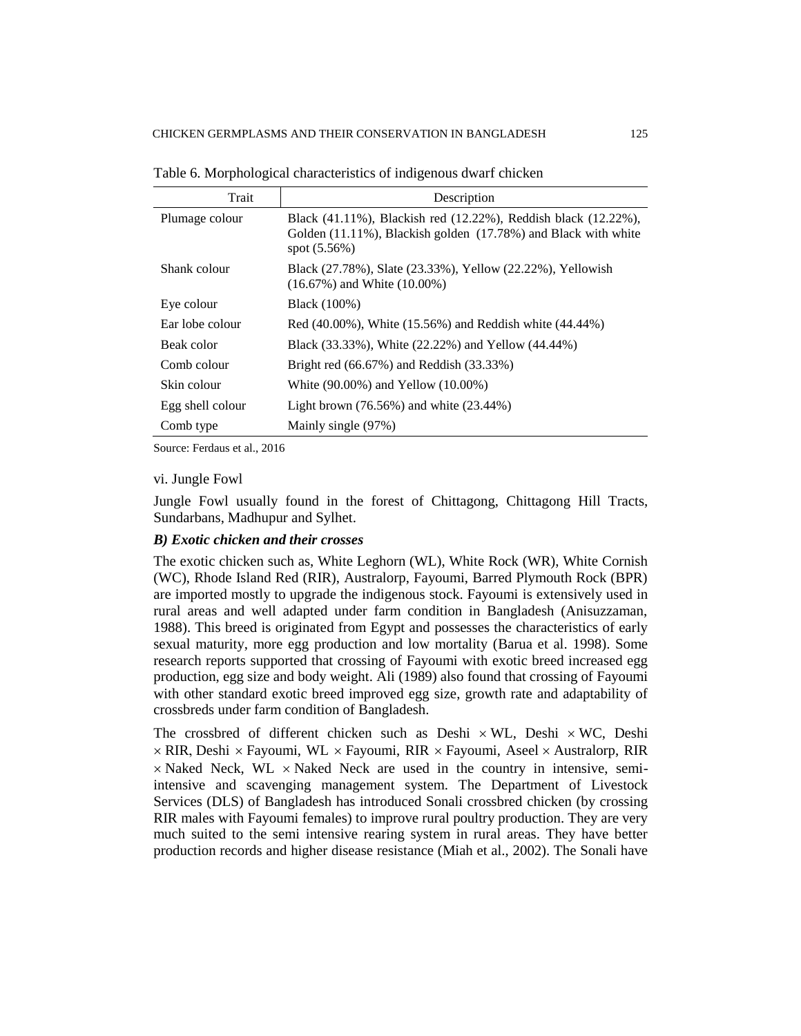| Trait            | Description                                                                                                                                         |
|------------------|-----------------------------------------------------------------------------------------------------------------------------------------------------|
| Plumage colour   | Black (41.11%), Blackish red (12.22%), Reddish black (12.22%),<br>Golden (11.11%), Blackish golden (17.78%) and Black with white<br>spot $(5.56\%)$ |
| Shank colour     | Black (27.78%), Slate (23.33%), Yellow (22.22%), Yellowish<br>$(16.67%)$ and White $(10.00%)$                                                       |
| Eye colour       | Black (100%)                                                                                                                                        |
| Ear lobe colour  | Red (40.00%), White (15.56%) and Reddish white (44.44%)                                                                                             |
| Beak color       | Black (33.33%), White (22.22%) and Yellow (44.44%)                                                                                                  |
| Comb colour      | Bright red $(66.67\%)$ and Reddish $(33.33\%)$                                                                                                      |
| Skin colour      | White (90.00%) and Yellow (10.00%)                                                                                                                  |
| Egg shell colour | Light brown $(76.56\%)$ and white $(23.44\%)$                                                                                                       |
| Comb type        | Mainly single (97%)                                                                                                                                 |

Table 6. Morphological characteristics of indigenous dwarf chicken

Source: Ferdaus et al., 2016

#### vi. Jungle Fowl

Jungle Fowl usually found in the forest of Chittagong, Chittagong Hill Tracts, Sundarbans, Madhupur and Sylhet.

# *B) Exotic chicken and their crosses*

The exotic chicken such as, White Leghorn (WL), White Rock (WR), White Cornish (WC), Rhode Island Red (RIR), Australorp, Fayoumi, Barred Plymouth Rock (BPR) are imported mostly to upgrade the indigenous stock. Fayoumi is extensively used in rural areas and well adapted under farm condition in Bangladesh (Anisuzzaman, 1988). This breed is originated from Egypt and possesses the characteristics of early sexual maturity, more egg production and low mortality (Barua et al. 1998). Some research reports supported that crossing of Fayoumi with exotic breed increased egg production, egg size and body weight. Ali (1989) also found that crossing of Fayoumi with other standard exotic breed improved egg size, growth rate and adaptability of crossbreds under farm condition of Bangladesh.

The crossbred of different chicken such as Deshi  $\times$  WL, Deshi  $\times$  WC, Deshi  $\times$  RIR, Deshi  $\times$  Fayoumi, WL  $\times$  Fayoumi, RIR  $\times$  Fayoumi, Aseel  $\times$  Australorp, RIR  $\times$  Naked Neck, WL  $\times$  Naked Neck are used in the country in intensive, semiintensive and scavenging management system. The Department of Livestock Services (DLS) of Bangladesh has introduced Sonali crossbred chicken (by crossing RIR males with Fayoumi females) to improve rural poultry production. They are very much suited to the semi intensive rearing system in rural areas. They have better production records and higher disease resistance (Miah et al., 2002). The Sonali have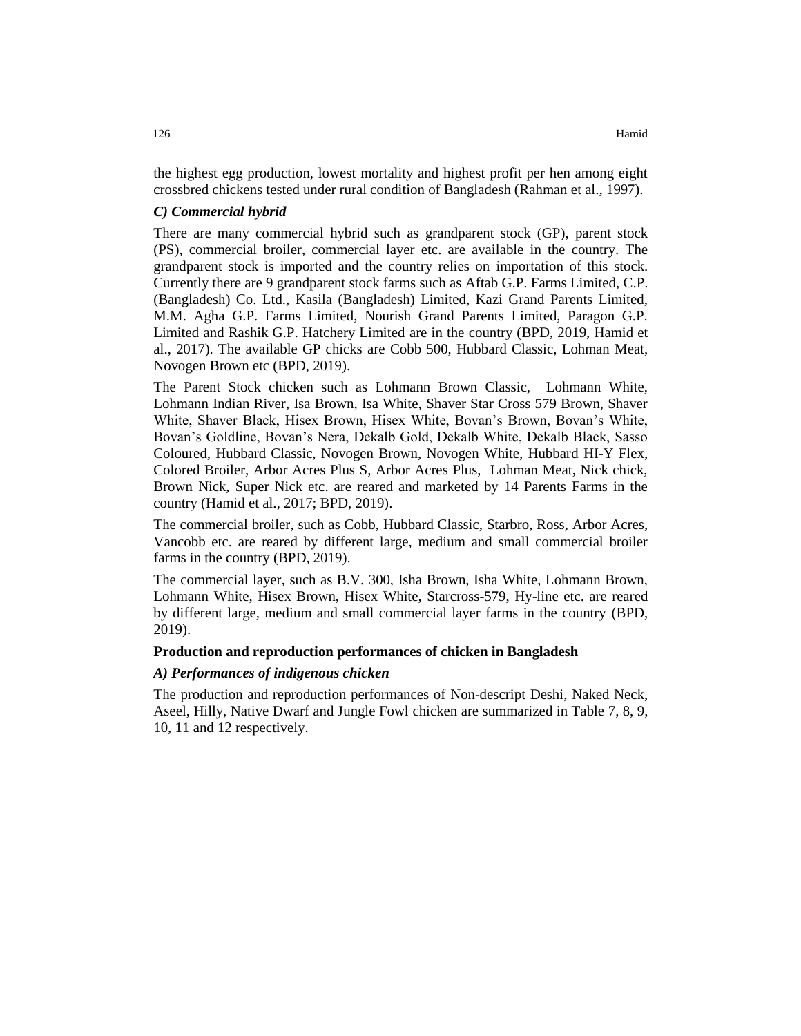the highest egg production, lowest mortality and highest profit per hen among eight crossbred chickens tested under rural condition of Bangladesh (Rahman et al., 1997).

## *C) Commercial hybrid*

There are many commercial hybrid such as grandparent stock (GP), parent stock (PS), commercial broiler, commercial layer etc. are available in the country. The grandparent stock is imported and the country relies on importation of this stock. Currently there are 9 grandparent stock farms such as Aftab G.P. Farms Limited, C.P. (Bangladesh) Co. Ltd., Kasila (Bangladesh) Limited, Kazi Grand Parents Limited, M.M. Agha G.P. Farms Limited, Nourish Grand Parents Limited, Paragon G.P. Limited and Rashik G.P. Hatchery Limited are in the country (BPD, 2019, Hamid et al., 2017). The available GP chicks are Cobb 500, Hubbard Classic, Lohman Meat, Novogen Brown etc (BPD, 2019).

The Parent Stock chicken such as Lohmann Brown Classic, Lohmann White, Lohmann Indian River, Isa Brown, Isa White, Shaver Star Cross 579 Brown, Shaver White, Shaver Black, Hisex Brown, Hisex White, Bovan's Brown, Bovan's White, Bovan's Goldline, Bovan's Nera, Dekalb Gold, Dekalb White, Dekalb Black, Sasso Coloured, Hubbard Classic, Novogen Brown, Novogen White, Hubbard HI-Y Flex, Colored Broiler, Arbor Acres Plus S, Arbor Acres Plus, Lohman Meat, Nick chick, Brown Nick, Super Nick etc. are reared and marketed by 14 Parents Farms in the country (Hamid et al., 2017; BPD, 2019).

The commercial broiler, such as Cobb, Hubbard Classic, Starbro, Ross, Arbor Acres, Vancobb etc. are reared by different large, medium and small commercial broiler farms in the country (BPD, 2019).

The commercial layer, such as B.V. 300, Isha Brown, Isha White, Lohmann Brown, Lohmann White, Hisex Brown, Hisex White, Starcross-579, Hy-line etc. are reared by different large, medium and small commercial layer farms in the country (BPD, 2019).

### **Production and reproduction performances of chicken in Bangladesh**

# *A) Performances of indigenous chicken*

The production and reproduction performances of Non-descript Deshi, Naked Neck, Aseel, Hilly, Native Dwarf and Jungle Fowl chicken are summarized in Table 7, 8, 9, 10, 11 and 12 respectively.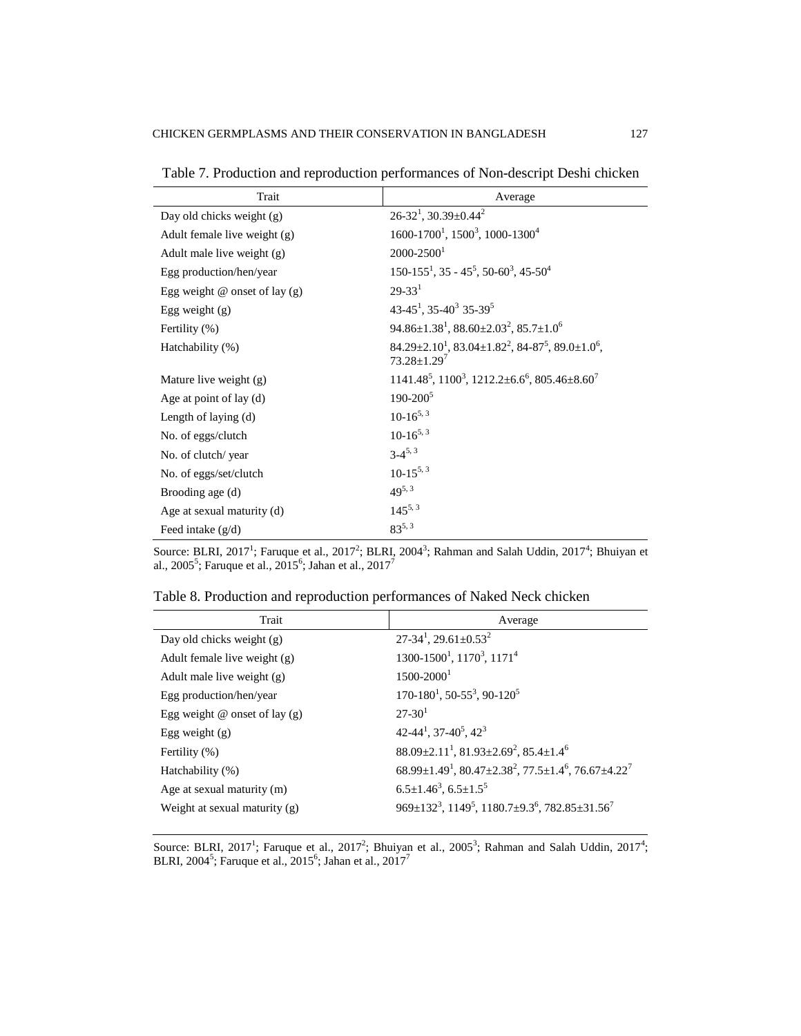| Trait                             | Average                                                                                                           |
|-----------------------------------|-------------------------------------------------------------------------------------------------------------------|
| Day old chicks weight (g)         | $26-32^1$ , $30.39 \pm 0.44^2$                                                                                    |
| Adult female live weight (g)      | $1600-1700^1$ , $1500^3$ , $1000-1300^4$                                                                          |
| Adult male live weight $(g)$      | $2000 - 2500$ <sup>1</sup>                                                                                        |
| Egg production/hen/year           | $150-155^1$ , 35 - $45^5$ , 50-60 <sup>3</sup> , 45-50 <sup>4</sup>                                               |
| Egg weight $@$ onset of lay $(g)$ | $29 - 331$                                                                                                        |
| Egg weight $(g)$                  | $43-45^1$ , 35-40 <sup>3</sup> 35-39 <sup>5</sup>                                                                 |
| Fertility (%)                     | $94.86 \pm 1.38^1$ , $88.60 \pm 2.03^2$ , $85.7 \pm 1.0^6$                                                        |
| Hatchability (%)                  | $84.29 \pm 2.10^{1}$ , $83.04 \pm 1.82^{2}$ , $84-87^{5}$ , $89.0 \pm 1.0^{6}$ ,<br>$73.28 \pm 1.29$ <sup>7</sup> |
| Mature live weight (g)            | $1141.48^5$ , $1100^3$ , $1212.2 \pm 6.6^6$ , $805.46 \pm 8.60^7$                                                 |
| Age at point of lay (d)           | $190 - 200^5$                                                                                                     |
| Length of laying $(d)$            | $10-16^{5,3}$                                                                                                     |
| No. of eggs/clutch                | $10-16^{5,3}$                                                                                                     |
| No. of clutch/year                | $3-4^{5,3}$                                                                                                       |
| No. of eggs/set/clutch            | $10-15^{5,3}$                                                                                                     |
| Brooding age (d)                  | $49^{5,3}$                                                                                                        |
| Age at sexual maturity (d)        | $145^{5,3}$                                                                                                       |
| Feed intake $(g/d)$               | $83^{5,3}$                                                                                                        |

Table 7. Production and reproduction performances of Non-descript Deshi chicken

Source: BLRI, 2017<sup>1</sup>; Faruque et al., 2017<sup>2</sup>; BLRI, 2004<sup>3</sup>; Rahman and Salah Uddin, 2017<sup>4</sup>; Bhuiyan et al., 2005 $^5$ ; Faruque et al., 2015 $^6$ ; Jahan et al., 2017 $^7$ 

| Trait                             | Average                                                                                             |
|-----------------------------------|-----------------------------------------------------------------------------------------------------|
| Day old chicks weight (g)         | $27-34^1$ , $29.61 \pm 0.53^2$                                                                      |
| Adult female live weight $(g)$    | 1300-1500 <sup>1</sup> , 1170 <sup>3</sup> , 1171 <sup>4</sup>                                      |
| Adult male live weight $(g)$      | $1500 - 20001$                                                                                      |
| Egg production/hen/year           | $170-180^1$ , 50-55 <sup>3</sup> , 90-120 <sup>5</sup>                                              |
| Egg weight $@$ onset of lay $(g)$ | $27-301$                                                                                            |
| Egg weight $(g)$                  | $42-44^1$ , 37-40 <sup>5</sup> , 42 <sup>3</sup>                                                    |
| Fertility (%)                     | $88.09 \pm 2.11^{1}$ , $81.93 \pm 2.69^{2}$ , $85.4 \pm 1.4^{6}$                                    |
| Hatchability (%)                  | 68.99±1.49 <sup>1</sup> , 80.47±2.38 <sup>2</sup> , 77.5±1.4 <sup>6</sup> , 76.67±4.22 <sup>7</sup> |
| Age at sexual maturity (m)        | $6.5 \pm 1.46^3$ , $6.5 \pm 1.5^5$                                                                  |
| Weight at sexual maturity $(g)$   | $969 \pm 132^3$ , 1149 <sup>5</sup> , 1180.7 $\pm 9.3^6$ , 782.85 $\pm 31.56^7$                     |

Table 8. Production and reproduction performances of Naked Neck chicken

Source: BLRI,  $2017^1$ ; Faruque et al.,  $2017^2$ ; Bhuiyan et al.,  $2005^3$ ; Rahman and Salah Uddin,  $2017^4$ ; BLRI, 2004<sup>5</sup>; Faruque et al., 2015<sup>6</sup>; Jahan et al., 2017<sup>7</sup>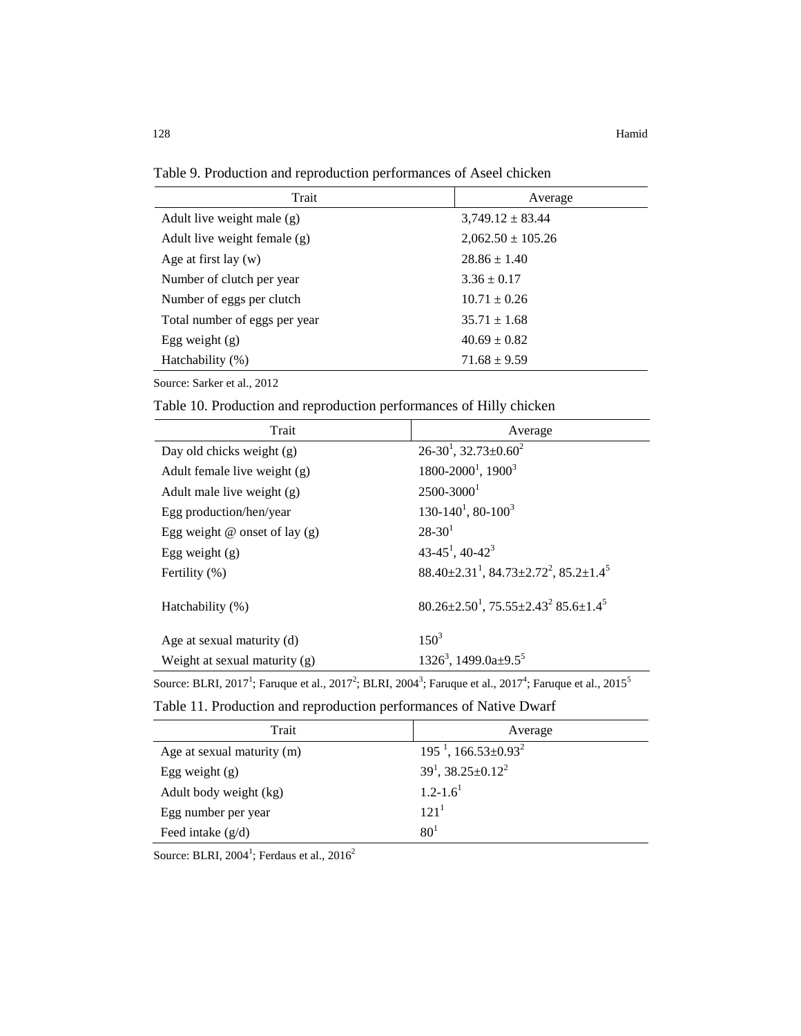Table 9. Production and reproduction performances of Aseel chicken

| Trait                         | Average               |
|-------------------------------|-----------------------|
| Adult live weight male (g)    | $3,749.12 \pm 83.44$  |
| Adult live weight female (g)  | $2,062.50 \pm 105.26$ |
| Age at first lay $(w)$        | $28.86 \pm 1.40$      |
| Number of clutch per year     | $3.36 \pm 0.17$       |
| Number of eggs per clutch     | $10.71 \pm 0.26$      |
| Total number of eggs per year | $35.71 \pm 1.68$      |
| Egg weight $(g)$              | $40.69 \pm 0.82$      |
| Hatchability (%)              | $71.68 \pm 9.59$      |
|                               |                       |

Source: Sarker et al., 2012

Table 10. Production and reproduction performances of Hilly chicken

| Trait                                                                                                                                                            | Average                                                          |
|------------------------------------------------------------------------------------------------------------------------------------------------------------------|------------------------------------------------------------------|
| Day old chicks weight (g)                                                                                                                                        | $26-30^1$ , $32.73\pm0.60^2$                                     |
| Adult female live weight (g)                                                                                                                                     | $1800 - 2000^1$ , $1900^3$                                       |
| Adult male live weight $(g)$                                                                                                                                     | $2500 - 3000$ <sup>1</sup>                                       |
| Egg production/hen/year                                                                                                                                          | $130-140^1$ , 80-100 <sup>3</sup>                                |
| Egg weight $@$ onset of lay $(g)$                                                                                                                                | $28-30^1$                                                        |
| Egg weight $(g)$                                                                                                                                                 | $43-45^1$ , $40-42^3$                                            |
| Fertility $(\%)$                                                                                                                                                 | $88.40 \pm 2.31^{1}$ , $84.73 \pm 2.72^{2}$ , $85.2 \pm 1.4^{5}$ |
| Hatchability (%)                                                                                                                                                 | $80.26 \pm 2.50^{1}$ , 75.55 $\pm 2.43^{2}$ 85.6 $\pm 1.4^{5}$   |
| Age at sexual maturity (d)                                                                                                                                       | $150^{3}$                                                        |
| Weight at sexual maturity $(g)$                                                                                                                                  | $1326^3$ , 1499.0a $\pm$ 9.5 <sup>5</sup>                        |
| Source: BLRI 2017 <sup>1</sup> : Farnoue et al. 2017 <sup>2</sup> : BLRI 2004 <sup>3</sup> : Farnoue et al. 2017 <sup>4</sup> : Farnoue et al. 2015 <sup>5</sup> |                                                                  |

Source: BLRI, 2017<sup>1</sup>; Faruque et al., 2017<sup>2</sup>; BLRI, 2004<sup>3</sup>; Faruque et al., 2017<sup>4</sup>; Faruque et al., 2015<sup>5</sup>

| Trait                      | Average                                         |
|----------------------------|-------------------------------------------------|
| Age at sexual maturity (m) | $195^{\text{1}}$ , $166.53 \pm 0.93^{\text{2}}$ |
| Egg weight $(g)$           | $39^1$ , $38.25 \pm 0.12^2$                     |
| Adult body weight (kg)     | $1.2 - 1.6$ <sup>1</sup>                        |
| Egg number per year        | 121 <sup>1</sup>                                |
| Feed intake $(g/d)$        | 80 <sup>1</sup>                                 |

Table 11. Production and reproduction performances of Native Dwarf

Source: BLRI, 2004<sup>1</sup>; Ferdaus et al., 2016<sup>2</sup>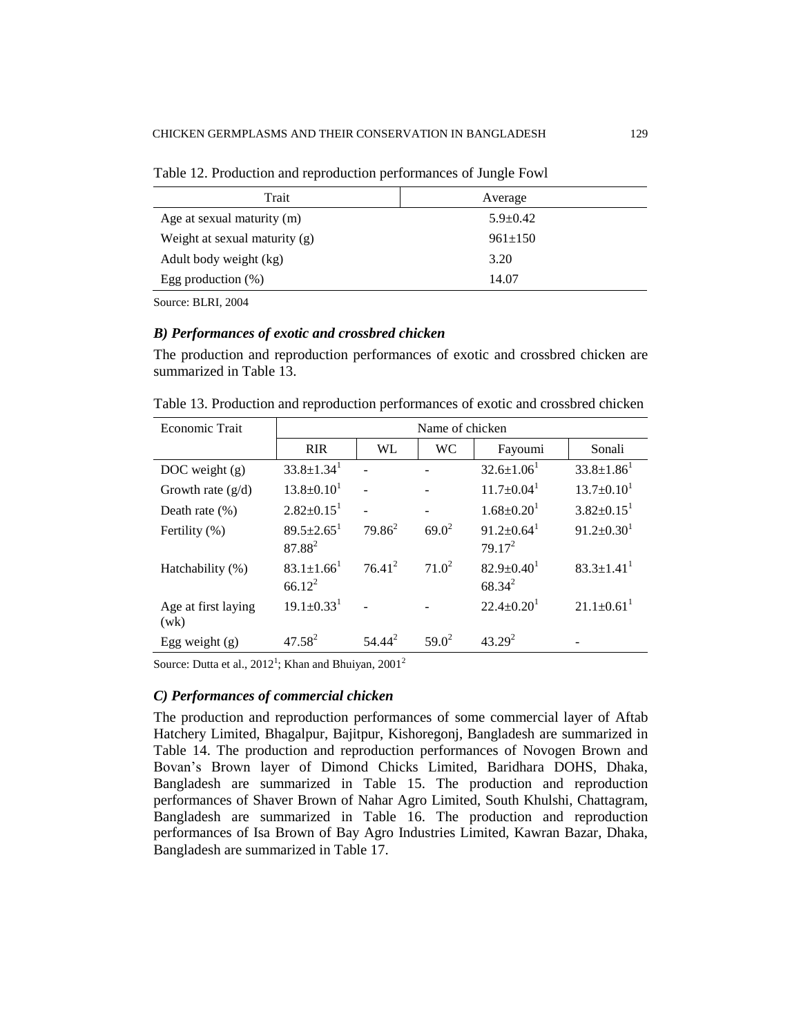| Trait                           | Average       |
|---------------------------------|---------------|
| Age at sexual maturity (m)      | $5.9+0.42$    |
| Weight at sexual maturity $(g)$ | $961 \pm 150$ |
| Adult body weight (kg)          | 3.20          |

Table 12. Production and reproduction performances of Jungle Fowl

Egg production (%) 14.07

Source: BLRI, 2004

Age at first laying

Egg weight (g)  $47.58^2$ 

(wk)

# *B) Performances of exotic and crossbred chicken*

The production and reproduction performances of exotic and crossbred chicken are summarized in Table 13.

Economic Trait  $\qquad \qquad$  Name of chicken RIR WL WC Fayoumi Sonali DOC weight (g)  $33.8 \pm 1.34^1$  $32.6 \pm 1.06$ <sup>1</sup>  $33.8 \pm 1.86$ <sup>1</sup> Growth rate  $(g/d)$  13.8 $\pm$ 0.10<sup>1</sup>  $11.7 \pm 0.04$ <sup>1</sup>  $13.7 \pm 0.10$ <sup>1</sup> Death rate  $(\% )$  2.82 $\pm$ 0.15<sup>1</sup>  $1.68 \pm 0.20$ <sup>1</sup>  $3.82 \pm 0.15$ <sup>1</sup> Fertility  $%$  89.5 $\pm$ 2.65<sup>1</sup> 87.88<sup>2</sup>  $79.86^2$  $69.0^2$  $91.2 \pm 0.64$ <sup>1</sup> 79.17<sup>2</sup>  $91.2+0.30<sup>1</sup>$ Hatchability  $%$  83.1±1.66<sup>1</sup> 66.12<sup>2</sup>  $76.41^2$  $71.0^2$  $82.9 \pm 0.40$ <sup>1</sup> 68.34<sup>2</sup>  $83.3 \pm 1.41$ <sup>1</sup>

54.44<sup>2</sup>

 $59.0^2$ 

 $22.4 \pm 0.20$ <sup>1</sup>

 $43.29^{2}$ 

 $21.1 \pm 0.61$ <sup>1</sup>

-

Table 13. Production and reproduction performances of exotic and crossbred chicken

Source: Dutta et al., 2012<sup>1</sup>; Khan and Bhuiyan, 2001<sup>2</sup>

 $19.1 \pm 0.33$ <sup>1</sup>

### *C) Performances of commercial chicken*

The production and reproduction performances of some commercial layer of Aftab Hatchery Limited, Bhagalpur, Bajitpur, Kishoregonj, Bangladesh are summarized in Table 14. The production and reproduction performances of Novogen Brown and Bovan's Brown layer of Dimond Chicks Limited, Baridhara DOHS, Dhaka, Bangladesh are summarized in Table 15. The production and reproduction performances of Shaver Brown of Nahar Agro Limited, South Khulshi, Chattagram, Bangladesh are summarized in Table 16. The production and reproduction performances of Isa Brown of Bay Agro Industries Limited, Kawran Bazar, Dhaka, Bangladesh are summarized in Table 17.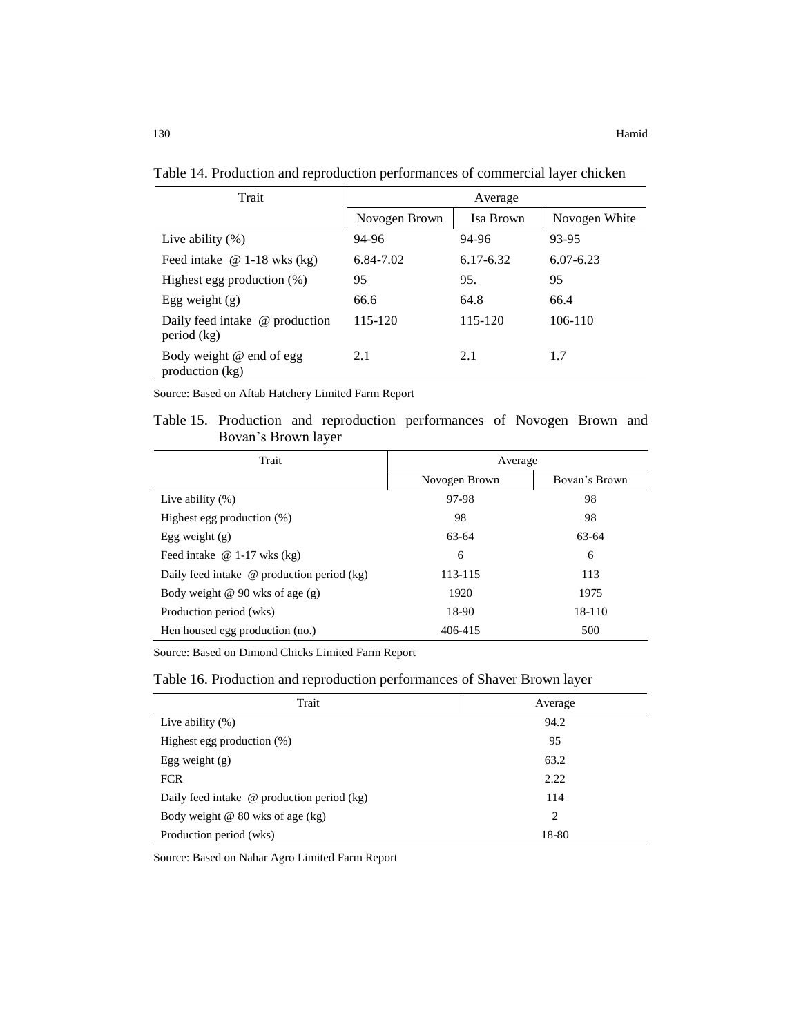| Trait                                         | Average       |               |               |
|-----------------------------------------------|---------------|---------------|---------------|
|                                               | Novogen Brown | Isa Brown     | Novogen White |
| Live ability $(\%)$                           | 94-96         | 94-96         | 93-95         |
| Feed intake $@ 1-18$ wks (kg)                 | 6.84-7.02     | $6.17 - 6.32$ | $6.07 - 6.23$ |
| Highest egg production $(\%)$                 | 95            | 95.           | 95            |
| Egg weight $(g)$                              | 66.6          | 64.8          | 66.4          |
| Daily feed intake @ production<br>period (kg) | 115-120       | 115-120       | 106-110       |
| Body weight @ end of egg<br>production (kg)   | 2.1           | 2.1           | 1.7           |

Table 14. Production and reproduction performances of commercial layer chicken

Source: Based on Aftab Hatchery Limited Farm Report

Table 15. Production and reproduction performances of Novogen Brown and Bovan's Brown layer

| Trait                                             | Average       |               |
|---------------------------------------------------|---------------|---------------|
|                                                   | Novogen Brown | Bovan's Brown |
| Live ability $(\%)$                               | 97-98         | 98            |
| Highest egg production $(\%)$                     | 98            | 98            |
| Egg weight $(g)$                                  | 63-64         | 63-64         |
| Feed intake $\omega$ 1-17 wks (kg)                | 6             | 6             |
| Daily feed intake $\omega$ production period (kg) | 113-115       | 113           |
| Body weight $@90$ wks of age $(g)$                | 1920          | 1975          |
| Production period (wks)                           | 18-90         | 18-110        |
| Hen housed egg production (no.)                   | 406-415       | 500           |

Source: Based on Dimond Chicks Limited Farm Report

# Table 16. Production and reproduction performances of Shaver Brown layer

| Trait                                             | Average |
|---------------------------------------------------|---------|
| Live ability $(\%)$                               | 94.2    |
| Highest egg production (%)                        | 95      |
| Egg weight $(g)$                                  | 63.2    |
| <b>FCR</b>                                        | 2.22    |
| Daily feed intake $\omega$ production period (kg) | 114     |
| Body weight $@ 80$ wks of age (kg)                | 2       |
| Production period (wks)                           | 18-80   |

Source: Based on Nahar Agro Limited Farm Report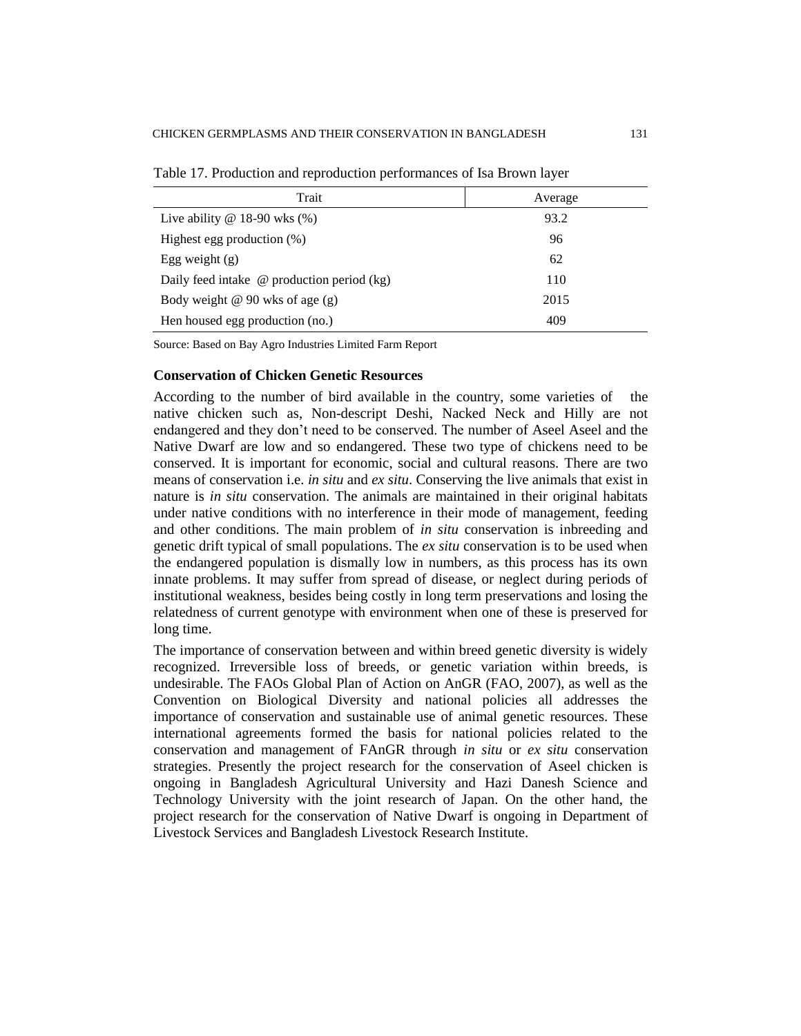| Trait                                             | Average |
|---------------------------------------------------|---------|
| Live ability $\omega$ 18-90 wks $(\%)$            | 93.2    |
| Highest egg production $(\%)$                     | 96      |
| Egg weight $(g)$                                  | 62      |
| Daily feed intake $\omega$ production period (kg) | 110     |
| Body weight $@ 90$ wks of age $(g)$               | 2015    |
| Hen housed egg production (no.)                   | 409     |

Table 17. Production and reproduction performances of Isa Brown layer

Source: Based on Bay Agro Industries Limited Farm Report

# **Conservation of Chicken Genetic Resources**

According to the number of bird available in the country, some varieties of the native chicken such as, Non-descript Deshi, Nacked Neck and Hilly are not endangered and they don't need to be conserved. The number of Aseel Aseel and the Native Dwarf are low and so endangered. These two type of chickens need to be conserved. It is important for economic, social and cultural reasons. There are two means of conservation i.e. *in situ* and *ex situ*. Conserving the live animals that exist in nature is *in situ* conservation. The animals are maintained in their original habitats under native conditions with no interference in their mode of management, feeding and other conditions. The main problem of *in situ* conservation is inbreeding and genetic drift typical of small populations. The *ex situ* conservation is to be used when the endangered population is dismally low in numbers, as this process has its own innate problems. It may suffer from spread of disease, or neglect during periods of institutional weakness, besides being costly in long term preservations and losing the relatedness of current genotype with environment when one of these is preserved for long time.

The importance of conservation between and within breed genetic diversity is widely recognized. Irreversible loss of breeds, or genetic variation within breeds, is undesirable. The FAOs Global Plan of Action on AnGR (FAO, 2007), as well as the Convention on Biological Diversity and national policies all addresses the importance of conservation and sustainable use of animal genetic resources. These international agreements formed the basis for national policies related to the conservation and management of FAnGR through *in situ* or *ex situ* conservation strategies. Presently the project research for the conservation of Aseel chicken is ongoing in Bangladesh Agricultural University and Hazi Danesh Science and Technology University with the joint research of Japan. On the other hand, the project research for the conservation of Native Dwarf is ongoing in Department of Livestock Services and Bangladesh Livestock Research Institute.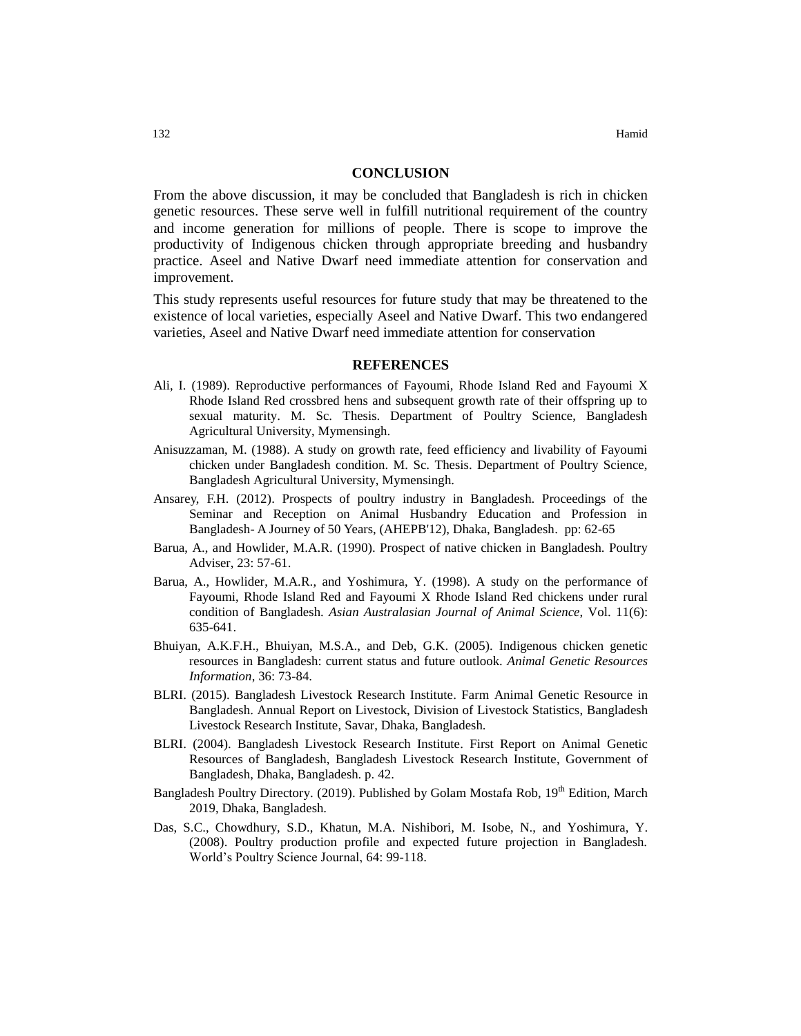### **CONCLUSION**

From the above discussion, it may be concluded that Bangladesh is rich in chicken genetic resources. These serve well in fulfill nutritional requirement of the country and income generation for millions of people. There is scope to improve the productivity of Indigenous chicken through appropriate breeding and husbandry practice. Aseel and Native Dwarf need immediate attention for conservation and improvement.

This study represents useful resources for future study that may be threatened to the existence of local varieties, especially Aseel and Native Dwarf. This two endangered varieties, Aseel and Native Dwarf need immediate attention for conservation

#### **REFERENCES**

- Ali, I. (1989). Reproductive performances of Fayoumi, Rhode Island Red and Fayoumi X Rhode Island Red crossbred hens and subsequent growth rate of their offspring up to sexual maturity. M. Sc. Thesis. Department of Poultry Science, Bangladesh Agricultural University, Mymensingh.
- Anisuzzaman, M. (1988). A study on growth rate, feed efficiency and livability of Fayoumi chicken under Bangladesh condition. M. Sc. Thesis. Department of Poultry Science, Bangladesh Agricultural University, Mymensingh.
- Ansarey, F.H. (2012). Prospects of poultry industry in Bangladesh. Proceedings of the Seminar and Reception on Animal Husbandry Education and Profession in Bangladesh- A Journey of 50 Years, (AHEPB'12), Dhaka, Bangladesh. pp: 62-65
- Barua, A., and Howlider, M.A.R. (1990). Prospect of native chicken in Bangladesh. Poultry Adviser, 23: 57-61.
- Barua, A., Howlider, M.A.R., and Yoshimura, Y. (1998). A study on the performance of Fayoumi, Rhode Island Red and Fayoumi X Rhode Island Red chickens under rural condition of Bangladesh. *Asian Australasian Journal of Animal Science*, Vol. 11(6): 635-641.
- Bhuiyan, A.K.F.H., Bhuiyan, M.S.A., and Deb, G.K. (2005). Indigenous chicken genetic resources in Bangladesh: current status and future outlook. *Animal Genetic Resources Information*, 36: 73-84.
- BLRI. (2015). Bangladesh Livestock Research Institute. Farm Animal Genetic Resource in Bangladesh. Annual Report on Livestock, Division of Livestock Statistics, Bangladesh Livestock Research Institute, Savar, Dhaka, Bangladesh.
- BLRI. (2004). Bangladesh Livestock Research Institute. First Report on Animal Genetic Resources of Bangladesh, Bangladesh Livestock Research Institute, Government of Bangladesh, Dhaka, Bangladesh. p. 42.
- Bangladesh Poultry Directory. (2019). Published by Golam Mostafa Rob, 19<sup>th</sup> Edition, March 2019, Dhaka, Bangladesh.
- Das, S.C., Chowdhury, S.D., Khatun, M.A. Nishibori, M. Isobe, N., and Yoshimura, Y. (2008). Poultry production profile and expected future projection in Bangladesh. World's Poultry Science Journal, 64: 99-118.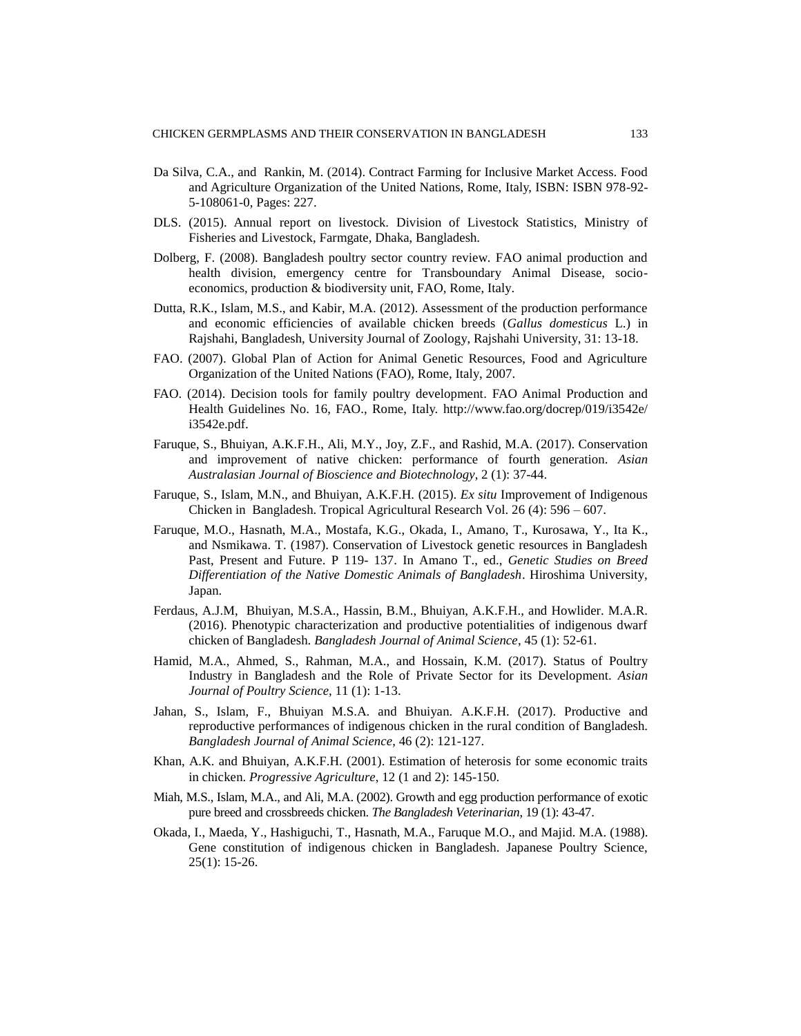- Da Silva, C.A., and Rankin, M. (2014). Contract Farming for Inclusive Market Access. Food and Agriculture Organization of the United Nations, Rome, Italy, ISBN: ISBN 978-92- 5-108061-0, Pages: 227.
- DLS. (2015). Annual report on livestock. Division of Livestock Statistics, Ministry of Fisheries and Livestock, Farmgate, Dhaka, Bangladesh.
- Dolberg, F. (2008). Bangladesh poultry sector country review. FAO animal production and health division, emergency centre for Transboundary Animal Disease, socioeconomics, production & biodiversity unit, FAO, Rome, Italy.
- Dutta, R.K., Islam, M.S., and Kabir, M.A. (2012). Assessment of the production performance and economic efficiencies of available chicken breeds (*Gallus domesticus* L.) in Rajshahi, Bangladesh, University Journal of Zoology, Rajshahi University, 31: 13-18.
- FAO. (2007). Global Plan of Action for Animal Genetic Resources, Food and Agriculture Organization of the United Nations (FAO), Rome, Italy, 2007.
- FAO. (2014). Decision tools for family poultry development. FAO Animal Production and Health Guidelines No. 16, FAO., Rome, Italy. [http://www.fao.org/docrep/019/i3542e/](http://www.fao.org/docrep/019/i3542e/i3542e.pdf) [i3542e.pdf.](http://www.fao.org/docrep/019/i3542e/i3542e.pdf)
- Faruque, S., Bhuiyan, A.K.F.H., Ali, M.Y., Joy, Z.F., and Rashid, M.A. (2017). Conservation and improvement of native chicken: performance of fourth generation. *Asian Australasian Journal of Bioscience and Biotechnology*, 2 (1): 37-44.
- Faruque, S., Islam, M.N., and Bhuiyan, A.K.F.H. (2015). *Ex situ* Improvement of Indigenous Chicken in Bangladesh. Tropical Agricultural Research Vol. 26 (4): 596 – 607.
- Faruque, M.O., Hasnath, M.A., Mostafa, K.G., Okada, I., Amano, T., Kurosawa, Y., Ita K., and Nsmikawa. T. (1987). Conservation of Livestock genetic resources in Bangladesh Past, Present and Future. P 119- 137. In Amano T., ed., *Genetic Studies on Breed Differentiation of the Native Domestic Animals of Bangladesh*. Hiroshima University, Japan.
- Ferdaus, A.J.M, Bhuiyan, M.S.A., Hassin, B.M., Bhuiyan, A.K.F.H., and Howlider. M.A.R. (2016). Phenotypic characterization and productive potentialities of indigenous dwarf chicken of Bangladesh. *Bangladesh Journal of Animal Science*, 45 (1): 52-61.
- Hamid, M.A., Ahmed, S., Rahman, M.A., and Hossain, K.M. (2017). Status of Poultry Industry in Bangladesh and the Role of Private Sector for its Development. *Asian Journal of Poultry Science,* 11 (1): 1-13.
- Jahan, S., Islam, F., Bhuiyan M.S.A. and Bhuiyan. A.K.F.H. (2017). Productive and reproductive performances of indigenous chicken in the rural condition of Bangladesh. *Bangladesh Journal of Animal Science*, 46 (2): 121-127.
- Khan, A.K. and Bhuiyan, A.K.F.H. (2001). Estimation of heterosis for some economic traits in chicken. *Progressive Agriculture*, 12 (1 and 2): 145-150.
- Miah, M.S., Islam, M.A., and Ali, M.A. (2002). Growth and egg production performance of exotic pure breed and crossbreeds chicken. *The Bangladesh Veterinarian*, 19 (1): 43-47.
- Okada, I., Maeda, Y., Hashiguchi, T., Hasnath, M.A., Faruque M.O., and Majid. M.A. (1988). Gene constitution of indigenous chicken in Bangladesh. Japanese Poultry Science, 25(1): 15-26.